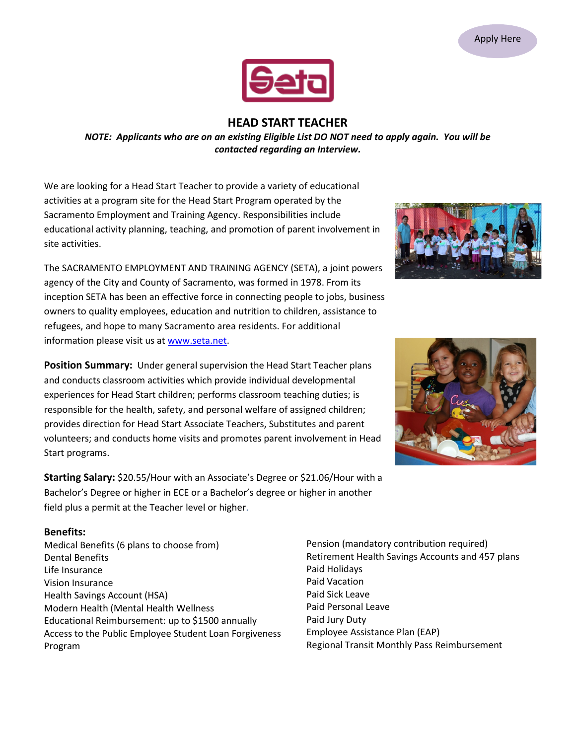

# **HEAD START TEACHER**

*NOTE: Applicants who are on an existing Eligible List DO NOT need to apply again. You will be contacted regarding an Interview.*

We are looking for a Head Start Teacher to provide a variety of educational activities at a program site for the Head Start Program operated by the Sacramento Employment and Training Agency. Responsibilities include educational activity planning, teaching, and promotion of parent involvement in site activities.

The SACRAMENTO EMPLOYMENT AND TRAINING AGENCY (SETA), a joint powers agency of the City and County of Sacramento, was formed in 1978. From its inception SETA has been an effective force in connecting people to jobs, business owners to quality employees, education and nutrition to children, assistance to refugees, and hope to many Sacramento area residents. For additional information please visit us at [www.seta.net.](http://www.seta.net/)

**Position Summary:** Under general supervision the Head Start Teacher plans and conducts classroom activities which provide individual developmental experiences for Head Start children; performs classroom teaching duties; is responsible for the health, safety, and personal welfare of assigned children; provides direction for Head Start Associate Teachers, Substitutes and parent volunteers; and conducts home visits and promotes parent involvement in Head Start programs.

**Starting Salary:** \$20.55/Hour with an Associate's Degree or \$21.06/Hour with a Bachelor's Degree or higher in ECE or a Bachelor's degree or higher in another field plus a permit at the Teacher level or higher.

#### **Benefits:**

Medical Benefits (6 plans to choose from) Dental Benefits Life Insurance Vision Insurance Health Savings Account (HSA) Modern Health (Mental Health Wellness Educational Reimbursement: up to \$1500 annually Access to the Public Employee Student Loan Forgiveness Program

Pension (mandatory contribution required) Retirement Health Savings Accounts and 457 plans Paid Holidays Paid Vacation Paid Sick Leave Paid Personal Leave Paid Jury Duty Employee Assistance Plan (EAP) Regional Transit Monthly Pass Reimbursement